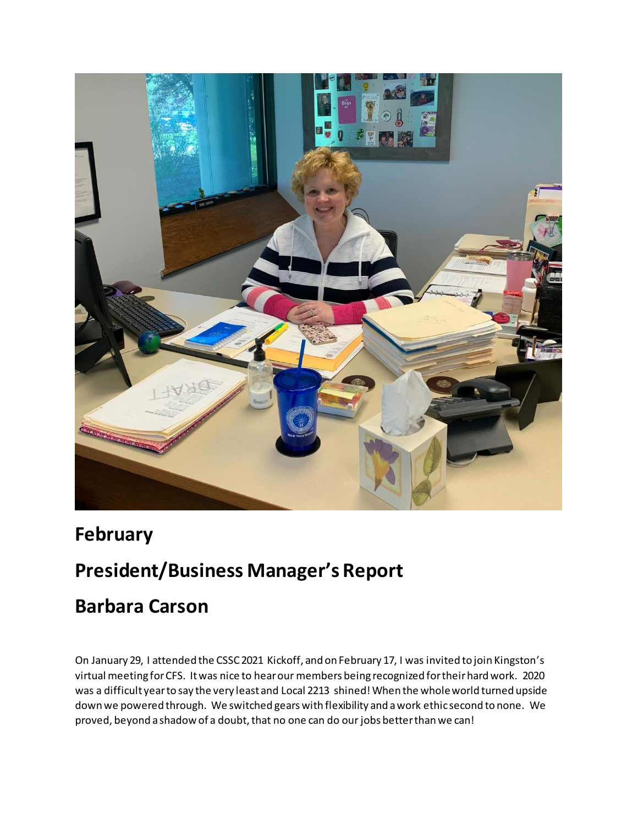

## **February**

## **President/Business Manager's Report**

## **Barbara Carson**

On January 29, I attended the CSSC 2021 Kickoff, and on February 17, I was invited to join Kingston's virtual meeting for CFS. It was nice to hear our members being recognized for their hard work. 2020 was a difficult year to say the very least and Local 2213 shined! When the whole world turned upside down we powered through. We switched gears with flexibility and a work ethic second to none. We proved, beyond a shadow of a doubt, that no one can do our jobs better than we can!